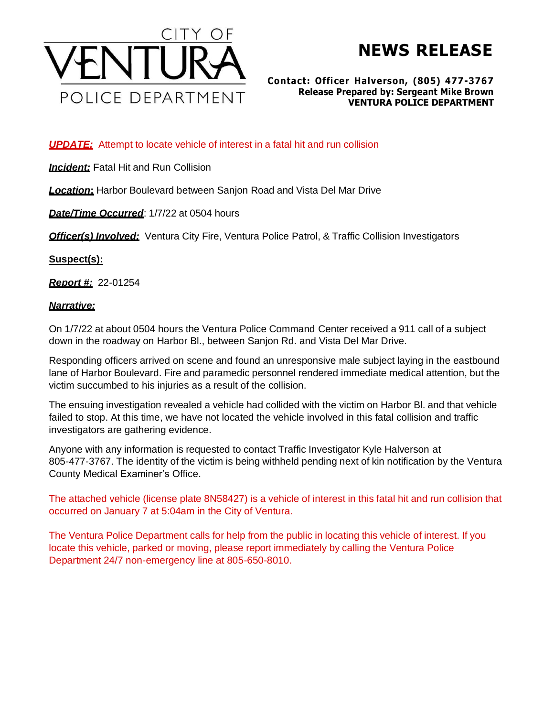

# **NEWS RELEASE**

#### **Contact: Officer Halverson, (805) 477-3767 Release Prepared by: Sergeant Mike Brown VENTURA POLICE DEPARTMENT**

## *UPDATE:* Attempt to locate vehicle of interest in a fatal hit and run collision

**Incident:** Fatal Hit and Run Collision

*Location***:** Harbor Boulevard between Sanjon Road and Vista Del Mar Drive

*Date/Time Occurred*: 1/7/22 at 0504 hours

*Officer(s) Involved:* Ventura City Fire, Ventura Police Patrol, & Traffic Collision Investigators

## **Suspect(s):**

*Report #:* 22-01254

## *Narrative:*

On 1/7/22 at about 0504 hours the Ventura Police Command Center received a 911 call of a subject down in the roadway on Harbor Bl., between Sanjon Rd. and Vista Del Mar Drive.

Responding officers arrived on scene and found an unresponsive male subject laying in the eastbound lane of Harbor Boulevard. Fire and paramedic personnel rendered immediate medical attention, but the victim succumbed to his injuries as a result of the collision.

The ensuing investigation revealed a vehicle had collided with the victim on Harbor Bl. and that vehicle failed to stop. At this time, we have not located the vehicle involved in this fatal collision and traffic investigators are gathering evidence.

Anyone with any information is requested to contact Traffic Investigator Kyle Halverson at 805-477-3767. The identity of the victim is being withheld pending next of kin notification by the Ventura County Medical Examiner's Office.

The attached vehicle (license plate 8N58427) is a vehicle of interest in this fatal hit and run collision that occurred on January 7 at 5:04am in the City of Ventura.

The Ventura Police Department calls for help from the public in locating this vehicle of interest. If you locate this vehicle, parked or moving, please report immediately by calling the Ventura Police Department 24/7 non-emergency line at 805-650-8010.